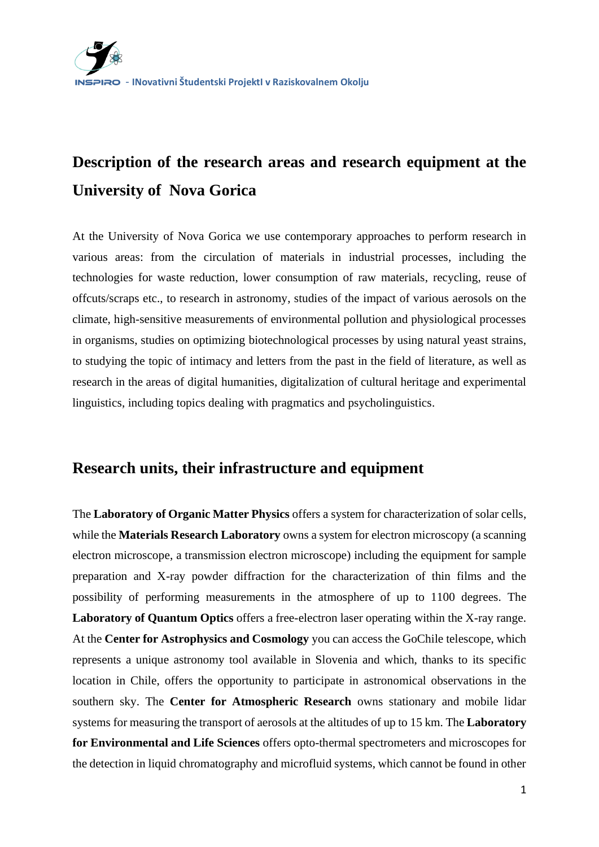# **Description of the research areas and research equipment at the University of Nova Gorica**

At the University of Nova Gorica we use contemporary approaches to perform research in various areas: from the circulation of materials in industrial processes, including the technologies for waste reduction, lower consumption of raw materials, recycling, reuse of offcuts/scraps etc., to research in astronomy, studies of the impact of various aerosols on the climate, high-sensitive measurements of environmental pollution and physiological processes in organisms, studies on optimizing biotechnological processes by using natural yeast strains, to studying the topic of intimacy and letters from the past in the field of literature, as well as research in the areas of digital humanities, digitalization of cultural heritage and experimental linguistics, including topics dealing with pragmatics and psycholinguistics.

# **Research units, their infrastructure and equipment**

The **Laboratory of Organic Matter Physics** offers a system for characterization of solar cells, while the **Materials Research Laboratory** owns a system for electron microscopy (a scanning electron microscope, a transmission electron microscope) including the equipment for sample preparation and X-ray powder diffraction for the characterization of thin films and the possibility of performing measurements in the atmosphere of up to 1100 degrees. The **Laboratory of Quantum Optics** offers a free-electron laser operating within the X-ray range. At the **Center for Astrophysics and Cosmology** you can access the GoChile telescope, which represents a unique astronomy tool available in Slovenia and which, thanks to its specific location in Chile, offers the opportunity to participate in astronomical observations in the southern sky. The **Center for Atmospheric Research** owns stationary and mobile lidar systems for measuring the transport of aerosols at the altitudes of up to 15 km. The **Laboratory for Environmental and Life Sciences** offers opto-thermal spectrometers and microscopes for the detection in liquid chromatography and microfluid systems, which cannot be found in other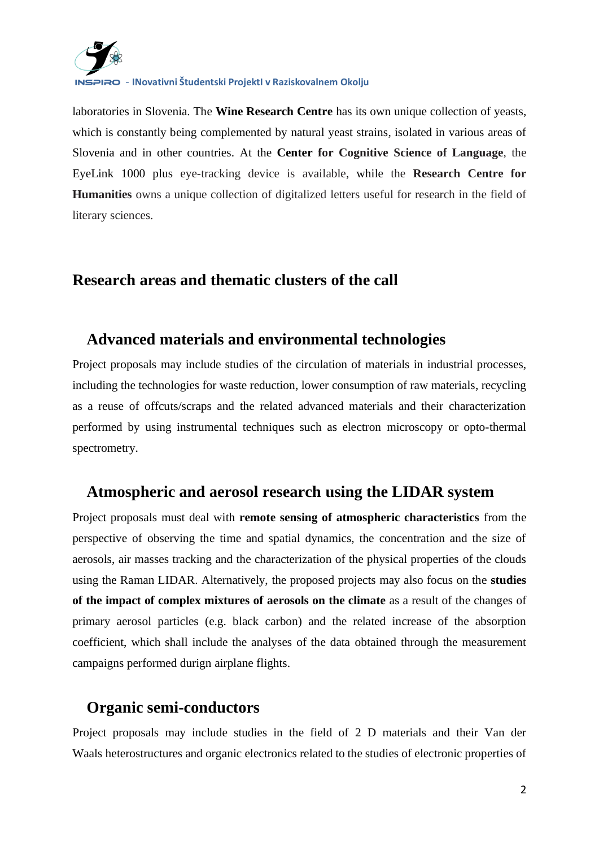

- **INovativni Študentski ProjektI v Raziskovalnem Okolju**

laboratories in Slovenia. The **Wine Research Centre** has its own unique collection of yeasts, which is constantly being complemented by natural yeast strains, isolated in various areas of Slovenia and in other countries. At the **Center for Cognitive Science of Language**, the EyeLink 1000 plus eye-tracking device is available, while the **Research Centre for Humanities** owns a unique collection of digitalized letters useful for research in the field of literary sciences.

#### **Research areas and thematic clusters of the call**

#### **Advanced materials and environmental technologies**

Project proposals may include studies of the circulation of materials in industrial processes, including the technologies for waste reduction, lower consumption of raw materials, recycling as a reuse of offcuts/scraps and the related advanced materials and their characterization performed by using instrumental techniques such as electron microscopy or opto-thermal spectrometry.

#### **Atmospheric and aerosol research using the LIDAR system**

Project proposals must deal with **remote sensing of atmospheric characteristics** from the perspective of observing the time and spatial dynamics, the concentration and the size of aerosols, air masses tracking and the characterization of the physical properties of the clouds using the Raman LIDAR. Alternatively, the proposed projects may also focus on the **studies of the impact of complex mixtures of aerosols on the climate** as a result of the changes of primary aerosol particles (e.g. black carbon) and the related increase of the absorption coefficient, which shall include the analyses of the data obtained through the measurement campaigns performed durign airplane flights.

# **Organic semi-conductors**

Project proposals may include studies in the field of 2 D materials and their Van der Waals heterostructures and organic electronics related to the studies of electronic properties of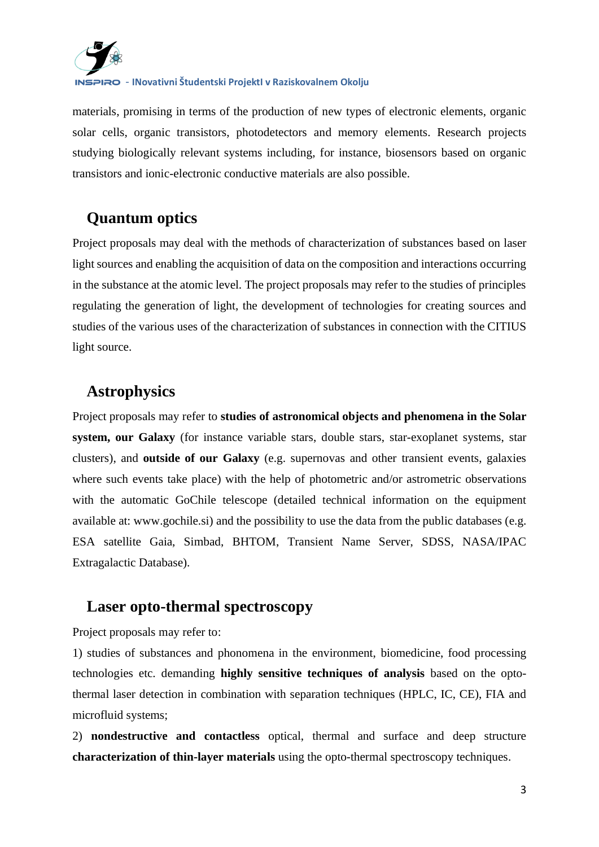

- **INovativni Študentski ProjektI v Raziskovalnem Okolju**

materials, promising in terms of the production of new types of electronic elements, organic solar cells, organic transistors, photodetectors and memory elements. Research projects studying biologically relevant systems including, for instance, biosensors based on organic transistors and ionic-electronic conductive materials are also possible.

# **Quantum optics**

Project proposals may deal with the methods of characterization of substances based on laser light sources and enabling the acquisition of data on the composition and interactions occurring in the substance at the atomic level. The project proposals may refer to the studies of principles regulating the generation of light, the development of technologies for creating sources and studies of the various uses of the characterization of substances in connection with the CITIUS light source.

# **Astrophysics**

Project proposals may refer to **studies of astronomical objects and phenomena in the Solar system, our Galaxy** (for instance variable stars, double stars, star-exoplanet systems, star clusters), and **outside of our Galaxy** (e.g. supernovas and other transient events, galaxies where such events take place) with the help of photometric and/or astrometric observations with the automatic GoChile telescope (detailed technical information on the equipment available at: www.gochile.si) and the possibility to use the data from the public databases (e.g. ESA satellite Gaia, Simbad, BHTOM, Transient Name Server, SDSS, NASA/IPAC Extragalactic Database).

#### **Laser opto-thermal spectroscopy**

Project proposals may refer to:

1) studies of substances and phonomena in the environment, biomedicine, food processing technologies etc. demanding **highly sensitive techniques of analysis** based on the optothermal laser detection in combination with separation techniques (HPLC, IC, CE), FIA and microfluid systems;

2) **nondestructive and contactless** optical, thermal and surface and deep structure **characterization of thin-layer materials** using the opto-thermal spectroscopy techniques.